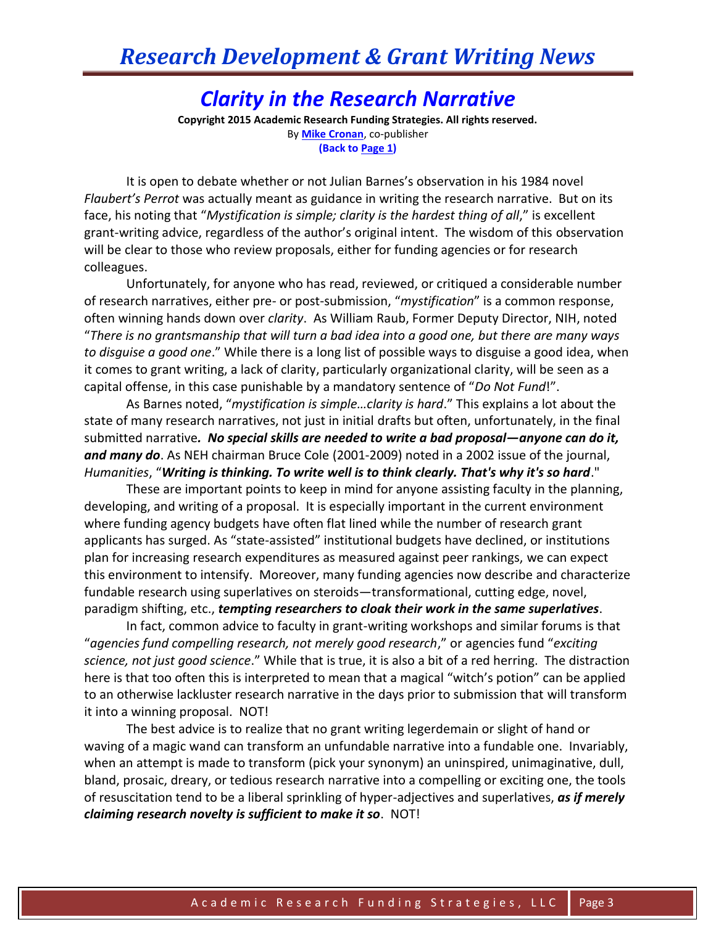## *Clarity in the Research Narrative*

**Copyright 2015 Academic Research Funding Strategies. All rights reserved.** By **[Mike Cronan](mailto:mjcronan@gmail.com)**, co-publisher **(Back to Page 1)**

It is open to debate whether or not Julian Barnes's observation in his 1984 novel *Flaubert's Perrot* was actually meant as guidance in writing the research narrative. But on its face, his noting that "Mystification is simple; clarity is the hardest thing of all," is excellent grant-writing advice, regardless of the author's original intent. The wisdom of this observation will be clear to those who review proposals, either for funding agencies or for research colleagues.

Unfortunately, for anyone who has read, reviewed, or critiqued a considerable number of research narratives, either pre- or post-submission, "*mystification*" is a common response, often winning hands down over *clarity*. As William Raub, Former Deputy Director, NIH, noted "*There is no grantsmanship that will turn a bad idea into a good one, but there are many ways to disguise a good one*." While there is a long list of possible ways to disguise a good idea, when it comes to grant writing, a lack of clarity, particularly organizational clarity, will be seen as a capital offense, in this case punishable by a mandatory sentence of "*Do Not Fund*!".

As Barnes noted, "*mystification is simple…clarity is hard*." This explains a lot about the state of many research narratives, not just in initial drafts but often, unfortunately, in the final submitted narrative*. No special skills are needed to write a bad proposal—anyone can do it, and many do*. As NEH chairman Bruce Cole (2001-2009) noted in a 2002 issue of the journal, *Humanities*, "*Writing is thinking. To write well is to think clearly. That's why it's so hard*."

These are important points to keep in mind for anyone assisting faculty in the planning, developing, and writing of a proposal. It is especially important in the current environment where funding agency budgets have often flat lined while the number of research grant applicants has surged. As "state-assisted" institutional budgets have declined, or institutions plan for increasing research expenditures as measured against peer rankings, we can expect this environment to intensify. Moreover, many funding agencies now describe and characterize fundable research using superlatives on steroids—transformational, cutting edge, novel, paradigm shifting, etc., *tempting researchers to cloak their work in the same superlatives*.

In fact, common advice to faculty in grant-writing workshops and similar forums is that "*agencies fund compelling research, not merely good research*," or agencies fund "*exciting science, not just good science*." While that is true, it is also a bit of a red herring. The distraction here is that too often this is interpreted to mean that a magical "witch's potion" can be applied to an otherwise lackluster research narrative in the days prior to submission that will transform it into a winning proposal. NOT!

The best advice is to realize that no grant writing legerdemain or slight of hand or waving of a magic wand can transform an unfundable narrative into a fundable one. Invariably, when an attempt is made to transform (pick your synonym) an uninspired, unimaginative, dull, bland, prosaic, dreary, or tedious research narrative into a compelling or exciting one, the tools of resuscitation tend to be a liberal sprinkling of hyper-adjectives and superlatives, *as if merely claiming research novelty is sufficient to make it so*. NOT!